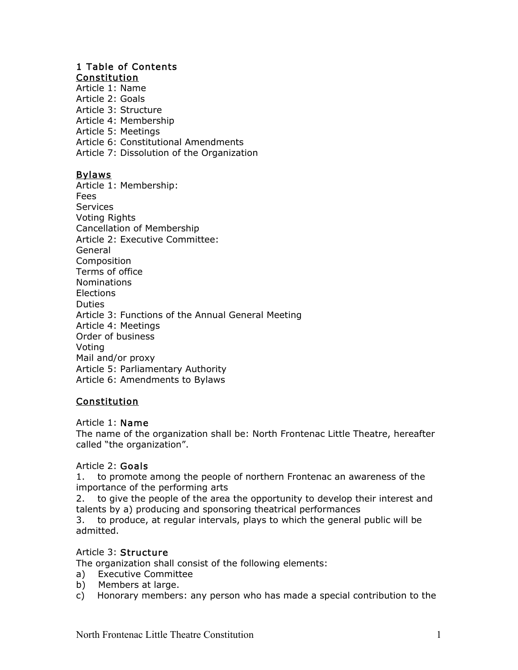#### 1 Table of Contents Constitution

Article 1: Name Article 2: Goals Article 3: Structure Article 4: Membership Article 5: Meetings Article 6: Constitutional Amendments Article 7: Dissolution of the Organization

## Bylaws

Article 1: Membership: Fees **Services** Voting Rights Cancellation of Membership Article 2: Executive Committee: General Composition Terms of office Nominations Elections Duties Article 3: Functions of the Annual General Meeting Article 4: Meetings Order of business Voting Mail and/or proxy Article 5: Parliamentary Authority Article 6: Amendments to Bylaws

### Constitution

Article 1: Name

The name of the organization shall be: North Frontenac Little Theatre, hereafter called "the organization".

### Article 2: Goals

1. to promote among the people of northern Frontenac an awareness of the importance of the performing arts

2. to give the people of the area the opportunity to develop their interest and talents by a) producing and sponsoring theatrical performances

3. to produce, at regular intervals, plays to which the general public will be admitted.

### Article 3: Structure

The organization shall consist of the following elements:

- a) Executive Committee
- b) Members at large.
- c) Honorary members: any person who has made a special contribution to the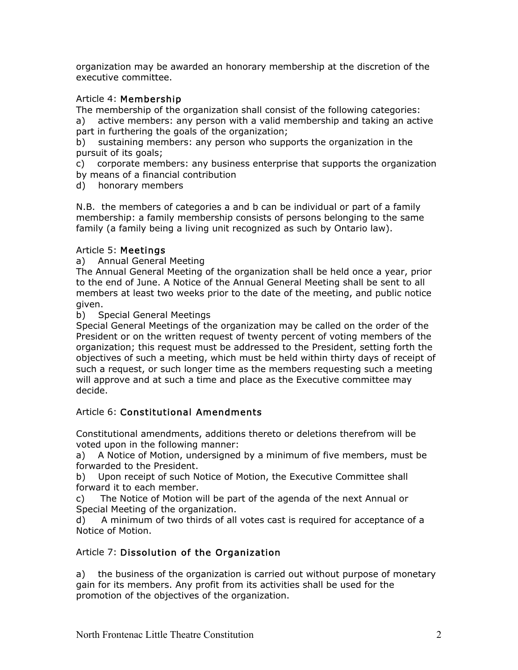organization may be awarded an honorary membership at the discretion of the executive committee.

### Article 4: Membership

The membership of the organization shall consist of the following categories:

a) active members: any person with a valid membership and taking an active part in furthering the goals of the organization;

b) sustaining members: any person who supports the organization in the pursuit of its goals;

c) corporate members: any business enterprise that supports the organization by means of a financial contribution

d) honorary members

N.B. the members of categories a and b can be individual or part of a family membership: a family membership consists of persons belonging to the same family (a family being a living unit recognized as such by Ontario law).

## Article 5: Meetings

a) Annual General Meeting

The Annual General Meeting of the organization shall be held once a year, prior to the end of June. A Notice of the Annual General Meeting shall be sent to all members at least two weeks prior to the date of the meeting, and public notice given.

### b) Special General Meetings

Special General Meetings of the organization may be called on the order of the President or on the written request of twenty percent of voting members of the organization; this request must be addressed to the President, setting forth the objectives of such a meeting, which must be held within thirty days of receipt of such a request, or such longer time as the members requesting such a meeting will approve and at such a time and place as the Executive committee may decide.

# Article 6: Constitutional Amendments

Constitutional amendments, additions thereto or deletions therefrom will be voted upon in the following manner:

a) A Notice of Motion, undersigned by a minimum of five members, must be forwarded to the President.

b) Upon receipt of such Notice of Motion, the Executive Committee shall forward it to each member.

c) The Notice of Motion will be part of the agenda of the next Annual or Special Meeting of the organization.

d) A minimum of two thirds of all votes cast is required for acceptance of a Notice of Motion.

### Article 7: Dissolution of the Organization

a) the business of the organization is carried out without purpose of monetary gain for its members. Any profit from its activities shall be used for the promotion of the objectives of the organization.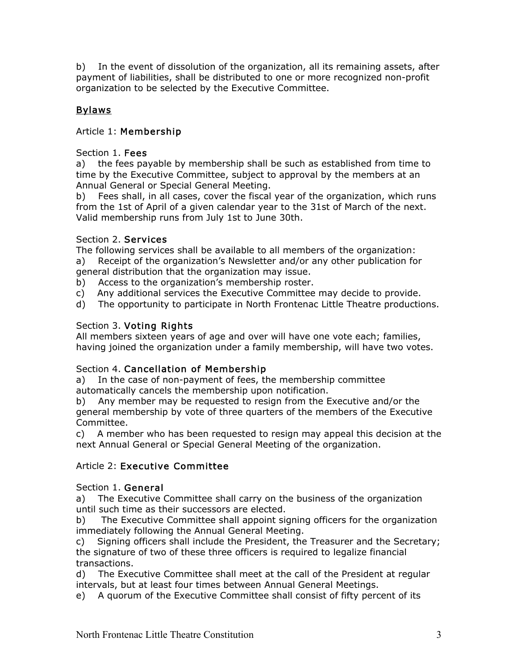b) In the event of dissolution of the organization, all its remaining assets, after payment of liabilities, shall be distributed to one or more recognized non-profit organization to be selected by the Executive Committee.

# Bylaws

## Article 1: Membership

### Section 1. Fees

a) the fees payable by membership shall be such as established from time to time by the Executive Committee, subject to approval by the members at an Annual General or Special General Meeting.

b) Fees shall, in all cases, cover the fiscal year of the organization, which runs from the 1st of April of a given calendar year to the 31st of March of the next. Valid membership runs from July 1st to June 30th.

## Section 2. Services

The following services shall be available to all members of the organization: a) Receipt of the organization's Newsletter and/or any other publication for general distribution that the organization may issue.

- b) Access to the organization's membership roster.
- c) Any additional services the Executive Committee may decide to provide.
- d) The opportunity to participate in North Frontenac Little Theatre productions.

# Section 3. Voting Rights

All members sixteen years of age and over will have one vote each; families, having joined the organization under a family membership, will have two votes.

# Section 4. Cancellation of Membership

a) In the case of non-payment of fees, the membership committee automatically cancels the membership upon notification.

b) Any member may be requested to resign from the Executive and/or the general membership by vote of three quarters of the members of the Executive Committee.

c) A member who has been requested to resign may appeal this decision at the next Annual General or Special General Meeting of the organization.

# Article 2: Executive Committee

### Section 1. General

a) The Executive Committee shall carry on the business of the organization until such time as their successors are elected.

b) The Executive Committee shall appoint signing officers for the organization immediately following the Annual General Meeting.

c) Signing officers shall include the President, the Treasurer and the Secretary; the signature of two of these three officers is required to legalize financial transactions.

d) The Executive Committee shall meet at the call of the President at regular intervals, but at least four times between Annual General Meetings.

e) A quorum of the Executive Committee shall consist of fifty percent of its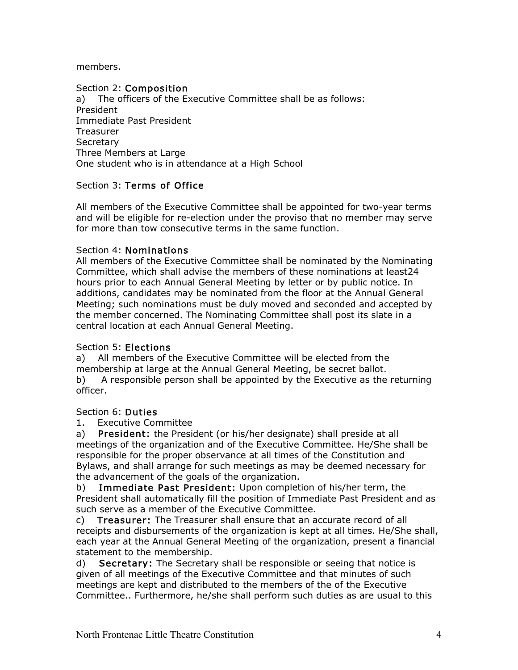members.

#### Section 2: Composition

a) The officers of the Executive Committee shall be as follows: President Immediate Past President **Treasurer Secretary** Three Members at Large One student who is in attendance at a High School

### Section 3: Terms of Office

All members of the Executive Committee shall be appointed for two-year terms and will be eligible for re-election under the proviso that no member may serve for more than tow consecutive terms in the same function.

#### Section 4: Nominations

All members of the Executive Committee shall be nominated by the Nominating Committee, which shall advise the members of these nominations at least24 hours prior to each Annual General Meeting by letter or by public notice. In additions, candidates may be nominated from the floor at the Annual General Meeting; such nominations must be duly moved and seconded and accepted by the member concerned. The Nominating Committee shall post its slate in a central location at each Annual General Meeting.

### Section 5: Elections

a) All members of the Executive Committee will be elected from the membership at large at the Annual General Meeting, be secret ballot. b) A responsible person shall be appointed by the Executive as the returning officer.

#### Section 6: Duties

#### 1. Executive Committee

a) President: the President (or his/her designate) shall preside at all meetings of the organization and of the Executive Committee. He/She shall be responsible for the proper observance at all times of the Constitution and Bylaws, and shall arrange for such meetings as may be deemed necessary for the advancement of the goals of the organization.

b) Immediate Past President: Upon completion of his/her term, the President shall automatically fill the position of Immediate Past President and as such serve as a member of the Executive Committee.

c) Treasurer: The Treasurer shall ensure that an accurate record of all receipts and disbursements of the organization is kept at all times. He/She shall, each year at the Annual General Meeting of the organization, present a financial statement to the membership.

d) Secretary: The Secretary shall be responsible or seeing that notice is given of all meetings of the Executive Committee and that minutes of such meetings are kept and distributed to the members of the of the Executive Committee.. Furthermore, he/she shall perform such duties as are usual to this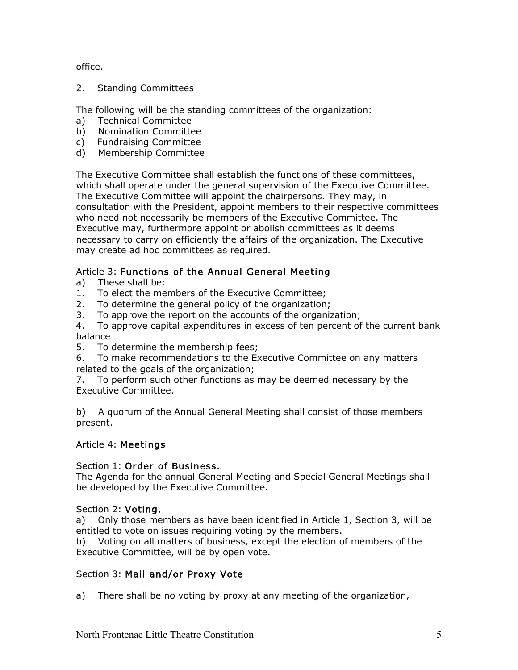office.

2. Standing Committees

The following will be the standing committees of the organization:

- a) Technical Committee
- b) Nomination Committee
- c) Fundraising Committee
- d) Membership Committee

The Executive Committee shall establish the functions of these committees, which shall operate under the general supervision of the Executive Committee. The Executive Committee will appoint the chairpersons. They may, in consultation with the President, appoint members to their respective committees who need not necessarily be members of the Executive Committee. The Executive may, furthermore appoint or abolish committees as it deems necessary to carry on efficiently the affairs of the organization. The Executive may create ad hoc committees as required.

### Article 3: Functions of the Annual General Meeting

- a) These shall be:
- 1. To elect the members of the Executive Committee;
- 2. To determine the general policy of the organization;
- 3. To approve the report on the accounts of the organization;

4. To approve capital expenditures in excess of ten percent of the current bank balance

5. To determine the membership fees;

6. To make recommendations to the Executive Committee on any matters related to the goals of the organization;

7. To perform such other functions as may be deemed necessary by the Executive Committee.

b) A quorum of the Annual General Meeting shall consist of those members present.

#### Article 4: Meetings

#### Section 1: Order of Business.

The Agenda for the annual General Meeting and Special General Meetings shall be developed by the Executive Committee.

#### Section 2: Voting.

a) Only those members as have been identified in Article 1, Section 3, will be entitled to vote on issues requiring voting by the members.

b) Voting on all matters of business, except the election of members of the Executive Committee, will be by open vote.

### Section 3: Mail and/or Proxy Vote

a) There shall be no voting by proxy at any meeting of the organization,